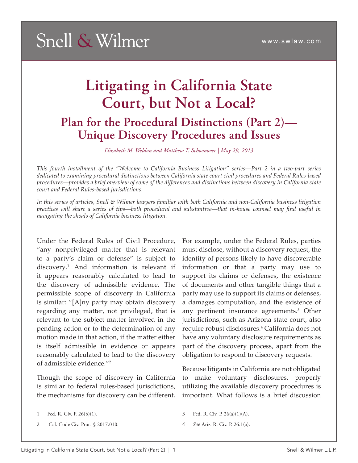### **Litigating in California State Court, but Not a Local? Plan for the Procedural Distinctions (Part 2)— Unique Discovery Procedures and Issues**

*Elizabeth M. Weldon and Matthew T. Schoonover | May 29, 2013*

*This fourth installment of the "Welcome to California Business Litigation" series—Part 2 in a two-part series dedicated to examining procedural distinctions between California state court civil procedures and Federal Rules-based procedures—provides a brief overview of some of the differences and distinctions between discovery in California state court and Federal Rules-based jurisdictions.* 

*In this series of articles, Snell & Wilmer lawyers familiar with both California and non-California business litigation practices will share a series of tips—both procedural and substantive—that in-house counsel may find useful in navigating the shoals of California business litigation.* 

Under the Federal Rules of Civil Procedure, "any nonprivileged matter that is relevant to a party's claim or defense" is subject to discovery.1 And information is relevant if it appears reasonably calculated to lead to the discovery of admissible evidence. The permissible scope of discovery in California is similar: "[A]ny party may obtain discovery regarding any matter, not privileged, that is relevant to the subject matter involved in the pending action or to the determination of any motion made in that action, if the matter either is itself admissible in evidence or appears reasonably calculated to lead to the discovery of admissible evidence."2

Though the scope of discovery in California is similar to federal rules-based jurisdictions, the mechanisms for discovery can be different.

1 Fed. R. Civ. P. 26(b)(1).

2 Cal. Code Civ. Proc. § 2017.010.

For example, under the Federal Rules, parties must disclose, without a discovery request, the identity of persons likely to have discoverable information or that a party may use to support its claims or defenses, the existence of documents and other tangible things that a party may use to support its claims or defenses, a damages computation, and the existence of any pertinent insurance agreements.3 Other jurisdictions, such as Arizona state court, also require robust disclosures.4 California does not have any voluntary disclosure requirements as part of the discovery process, apart from the obligation to respond to discovery requests.

Because litigants in California are not obligated to make voluntary disclosures, properly utilizing the available discovery procedures is important. What follows is a brief discussion

<sup>3</sup> Fed. R. Civ. P. 26(a)(1)(A).

<sup>4</sup> *See* Ariz. R. Civ. P. 26.1(a).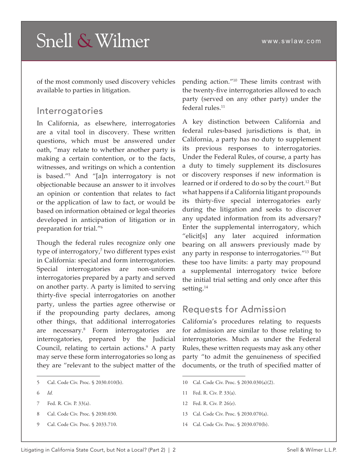of the most commonly used discovery vehicles available to parties in litigation.

#### Interrogatories

In California, as elsewhere, interrogatories are a vital tool in discovery. These written questions, which must be answered under oath, "may relate to whether another party is making a certain contention, or to the facts, witnesses, and writings on which a contention is based."5 And "[a]n interrogatory is not objectionable because an answer to it involves an opinion or contention that relates to fact or the application of law to fact, or would be based on information obtained or legal theories developed in anticipation of litigation or in preparation for trial."6

Though the federal rules recognize only one type of interrogatory,<sup>7</sup> two different types exist in California: special and form interrogatories. Special interrogatories are non-uniform interrogatories prepared by a party and served on another party. A party is limited to serving thirty-five special interrogatories on another party, unless the parties agree otherwise or if the propounding party declares, among other things, that additional interrogatories are necessary.8 Form interrogatories are interrogatories, prepared by the Judicial Council, relating to certain actions.<sup>9</sup> A party may serve these form interrogatories so long as they are "relevant to the subject matter of the

- 6 *Id.*
- 7 Fed. R. Civ. P. 33(a).
- 8 Cal. Code Civ. Proc. § 2030.030.
- 9 Cal. Code Civ. Proc. § 2033.710.

pending action."10 These limits contrast with the twenty-five interrogatories allowed to each party (served on any other party) under the federal rules.<sup>11</sup>

A key distinction between California and federal rules-based jurisdictions is that, in California, a party has no duty to supplement its previous responses to interrogatories. Under the Federal Rules, of course, a party has a duty to timely supplement its disclosures or discovery responses if new information is learned or if ordered to do so by the court.<sup>12</sup> But what happens if a California litigant propounds its thirty-five special interrogatories early during the litigation and seeks to discover any updated information from its adversary? Enter the supplemental interrogatory, which "elicit[s] any later acquired information bearing on all answers previously made by any party in response to interrogatories."13 But these too have limits: a party may propound a supplemental interrogatory twice before the initial trial setting and only once after this setting.<sup>14</sup>

#### Requests for Admission

California's procedures relating to requests for admission are similar to those relating to interrogatories. Much as under the Federal Rules, these written requests may ask any other party "to admit the genuineness of specified documents, or the truth of specified matter of

- 10 Cal. Code Civ. Proc. § 2030.030(a)(2).
- 11 Fed. R. Civ. P. 33(a).
- 12 Fed. R. Civ. P. 26(e).
- 13 Cal. Code Civ. Proc. § 2030.070(a).
- 14 Cal. Code Civ. Proc. § 2030.070(b).

<sup>5</sup> Cal. Code Civ. Proc. § 2030.010(b).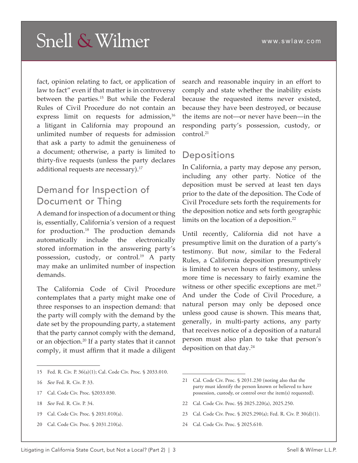fact, opinion relating to fact, or application of law to fact" even if that matter is in controversy between the parties.<sup>15</sup> But while the Federal Rules of Civil Procedure do not contain an express limit on requests for admission, $^{16}$ a litigant in California may propound an unlimited number of requests for admission that ask a party to admit the genuineness of a document; otherwise, a party is limited to thirty-five requests (unless the party declares additional requests are necessary).<sup>17</sup>

#### Demand for Inspection of Document or Thing

A demand for inspection of a document or thing is, essentially, California's version of a request for production.18 The production demands automatically include the electronically stored information in the answering party's possession, custody, or control.19 A party may make an unlimited number of inspection demands.

The California Code of Civil Procedure contemplates that a party might make one of three responses to an inspection demand: that the party will comply with the demand by the date set by the propounding party, a statement that the party cannot comply with the demand, or an objection.20 If a party states that it cannot comply, it must affirm that it made a diligent

15 Fed. R. Civ. P. 36(a)(1); Cal. Code Civ. Proc. § 2033.010.

- 17 Cal. Code Civ. Proc. §2033.030.
- 18 *See* Fed. R. Civ. P. 34.
- 19 Cal. Code Civ. Proc. § 2031.010(a).
- 20 Cal. Code Civ. Proc. § 2031.210(a).

search and reasonable inquiry in an effort to comply and state whether the inability exists because the requested items never existed, because they have been destroyed, or because the items are not—or never have been—in the responding party's possession, custody, or control.21

#### Depositions

In California, a party may depose any person, including any other party. Notice of the deposition must be served at least ten days prior to the date of the deposition. The Code of Civil Procedure sets forth the requirements for the deposition notice and sets forth geographic limits on the location of a deposition.<sup>22</sup>

Until recently, California did not have a presumptive limit on the duration of a party's testimony. But now, similar to the Federal Rules, a California deposition presumptively is limited to seven hours of testimony, unless more time is necessary to fairly examine the witness or other specific exceptions are met.<sup>23</sup> And under the Code of Civil Procedure, a natural person may only be deposed once unless good cause is shown. This means that, generally, in multi-party actions, any party that receives notice of a deposition of a natural person must also plan to take that person's deposition on that day.24

- 22 Cal. Code Civ. Proc. §§ 2025.220(a), 2025.250.
- 23 Cal. Code Civ. Proc. § 2025.290(a); Fed. R. Civ. P. 30(d)(1).
- 24 Cal. Code Civ. Proc. § 2025.610.

<sup>16</sup> *See* Fed. R. Civ. P. 33.

<sup>21</sup> Cal. Code Civ. Proc. § 2031.230 (noting also that the party must identify the person known or believed to have possession, custody, or control over the item(s) requested).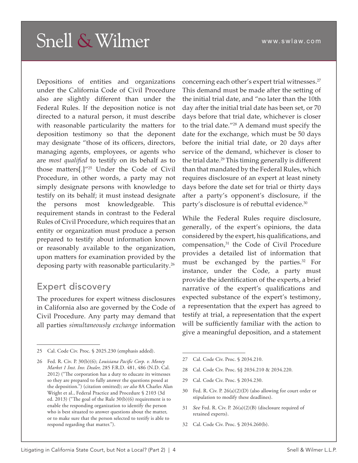Depositions of entities and organizations under the California Code of Civil Procedure also are slightly different than under the Federal Rules. If the deposition notice is not directed to a natural person, it must describe with reasonable particularity the matters for deposition testimony so that the deponent may designate "those of its officers, directors, managing agents, employees, or agents who are *most qualified* to testify on its behalf as to those matters[.]"25 Under the Code of Civil Procedure, in other words, a party may not simply designate persons with knowledge to testify on its behalf; it must instead designate the persons most knowledgeable. This requirement stands in contrast to the Federal Rules of Civil Procedure, which requires that an entity or organization must produce a person prepared to testify about information known or reasonably available to the organization, upon matters for examination provided by the deposing party with reasonable particularity.26

### Expert discovery

The procedures for expert witness disclosures in California also are governed by the Code of Civil Procedure. Any party may demand that all parties *simultaneously exchange* information

concerning each other's expert trial witnesses.27 This demand must be made after the setting of the initial trial date, and "no later than the 10th day after the initial trial date has been set, or 70 days before that trial date, whichever is closer to the trial date."28 A demand must specify the date for the exchange, which must be 50 days before the initial trial date, or 20 days after service of the demand, whichever is closer to the trial date.<sup>29</sup> This timing generally is different than that mandated by the Federal Rules, which requires disclosure of an expert at least ninety days before the date set for trial or thirty days after a party's opponent's disclosure, if the party's disclosure is of rebuttal evidence.30

While the Federal Rules require disclosure, generally, of the expert's opinions, the data considered by the expert, his qualifications, and compensation,<sup>31</sup> the Code of Civil Procedure provides a detailed list of information that must be exchanged by the parties.<sup>32</sup> For instance, under the Code, a party must provide the identification of the experts, a brief narrative of the expert's qualifications and expected substance of the expert's testimony, a representation that the expert has agreed to testify at trial, a representation that the expert will be sufficiently familiar with the action to give a meaningful deposition, and a statement

- 28 Cal. Code Civ. Proc. §§ 2034.210 & 2034.220.
- 29 Cal. Code Civ. Proc. § 2034.230.
- 30 Fed. R. Civ. P. 26(a)(2)(D) (also allowing for court order or stipulation to modify these deadlines).
- 31 *See* Fed. R. Civ. P. 26(a)(2)(B) (disclosure required of retained experts).
- 32 Cal. Code Civ. Proc. § 2034.260(b).

<sup>25</sup> Cal. Code Civ. Proc. § 2025.230 (emphasis added).

<sup>26</sup> Fed. R. Civ. P. 30(b)(6); *Louisiana Pacific Corp. v. Money Market 1 Inst. Inv. Dealer,* 285 F.R.D. 481, 486 (N.D. Cal. 2012) ("The corporation has a duty to educate its witnesses so they are prepared to fully answer the questions posed at the deposition.") (citation omitted); *see also* 8A Charles Alan Wright et al., Federal Practice and Procedure § 2103 (3d ed. 2013) ("The goal of the Rule 30(b)(6) requirement is to enable the responding organization to identify the person who is best situated to answer questions about the matter, or to make sure that the person selected to testify is able to respond regarding that matter.").

<sup>27</sup> Cal. Code Civ. Proc. § 2034.210.